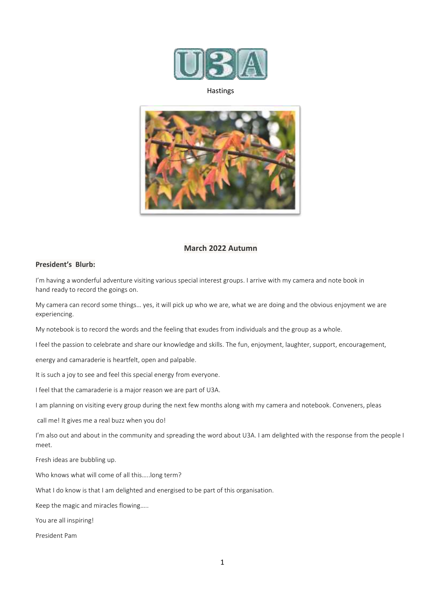

### Hastings



## **March 2022 Autumn**

## **President's Blurb:**

I'm having a wonderful adventure visiting various special interest groups. I arrive with my camera and note book in hand ready to record the goings on.

My camera can record some things… yes, it will pick up who we are, what we are doing and the obvious enjoyment we are experiencing.

My notebook is to record the words and the feeling that exudes from individuals and the group as a whole.

I feel the passion to celebrate and share our knowledge and skills. The fun, enjoyment, laughter, support, encouragement,

energy and camaraderie is heartfelt, open and palpable.

It is such a joy to see and feel this special energy from everyone.

I feel that the camaraderie is a major reason we are part of U3A.

I am planning on visiting every group during the next few months along with my camera and notebook. Conveners, pleas

call me! It gives me a real buzz when you do!

I'm also out and about in the community and spreading the word about U3A. I am delighted with the response from the people I meet.

Fresh ideas are bubbling up.

Who knows what will come of all this…..long term?

What I do know is that I am delighted and energised to be part of this organisation.

Keep the magic and miracles flowing…..

You are all inspiring!

President Pam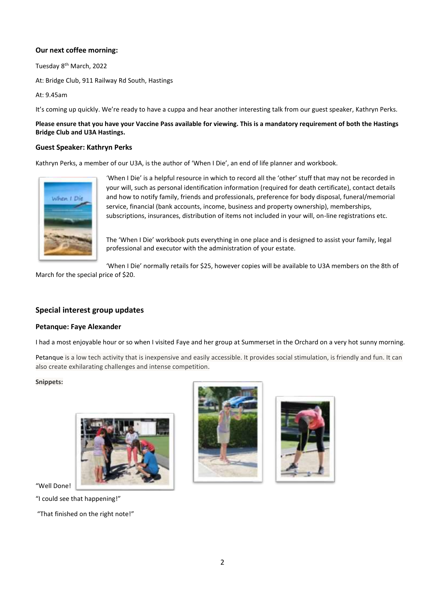## **Our next coffee morning:**

Tuesday 8th March, 2022

At: Bridge Club, 911 Railway Rd South, Hastings

At: 9.45am

It's coming up quickly. We're ready to have a cuppa and hear another interesting talk from our guest speaker, Kathryn Perks.

**Please ensure that you have your Vaccine Pass available for viewing. This is a mandatory requirement of both the Hastings Bridge Club and U3A Hastings.**

## **Guest Speaker: Kathryn Perks**

Kathryn Perks, a member of our U3A, is the author of 'When I Die', an end of life planner and workbook.



'When I Die' is a helpful resource in which to record all the 'other' stuff that may not be recorded in your will, such as personal identification information (required for death certificate), contact details and how to notify family, friends and professionals, preference for body disposal, funeral/memorial service, financial (bank accounts, income, business and property ownership), memberships, subscriptions, insurances, distribution of items not included in your will, on-line registrations etc.

The 'When I Die' workbook puts everything in one place and is designed to assist your family, legal professional and executor with the administration of your estate.

'When I Die' normally retails for \$25, however copies will be available to U3A members on the 8th of

March for the special price of \$20.

# **Special interest group updates**

## **Petanque: Faye Alexander**

I had a most enjoyable hour or so when I visited Faye and her group at Summerset in the Orchard on a very hot sunny morning.

Petanque is a low tech activity that is inexpensive and easily accessible. It provides social stimulation, is friendly and fun. It can also create exhilarating challenges and intense competition.

### **Snippets:**







"Well Done!

"I could see that happening!"

"That finished on the right note!"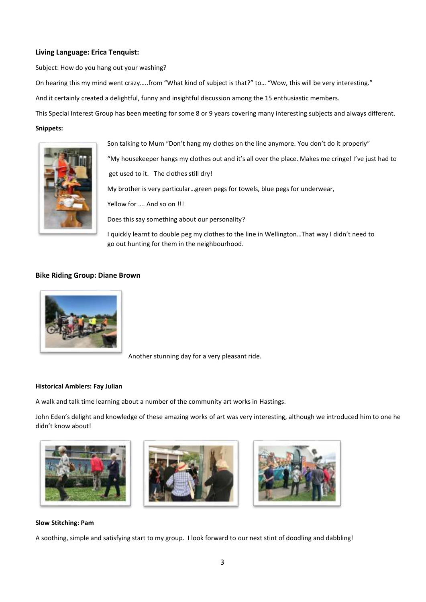### **Living Language: Erica Tenquist:**

Subject: How do you hang out your washing?

On hearing this my mind went crazy…..from "What kind of subject is that?" to… "Wow, this will be very interesting."

And it certainly created a delightful, funny and insightful discussion among the 15 enthusiastic members.

This Special Interest Group has been meeting for some 8 or 9 years covering many interesting subjects and always different.

### **Snippets:**



Son talking to Mum "Don't hang my clothes on the line anymore. You don't do it properly" "My housekeeper hangs my clothes out and it's all over the place. Makes me cringe! I've just had to get used to it. The clothes still dry! My brother is very particular…green pegs for towels, blue pegs for underwear, Yellow for …. And so on !!! Does this say something about our personality? I quickly learnt to double peg my clothes to the line in Wellington…That way I didn't need to go out hunting for them in the neighbourhood.

### **Bike Riding Group: Diane Brown**



Another stunning day for a very pleasant ride.

### **Historical Amblers: Fay Julian**

A walk and talk time learning about a number of the community art works in Hastings.

John Eden's delight and knowledge of these amazing works of art was very interesting, although we introduced him to one he didn't know about!







#### **Slow Stitching: Pam**

A soothing, simple and satisfying start to my group. I look forward to our next stint of doodling and dabbling!